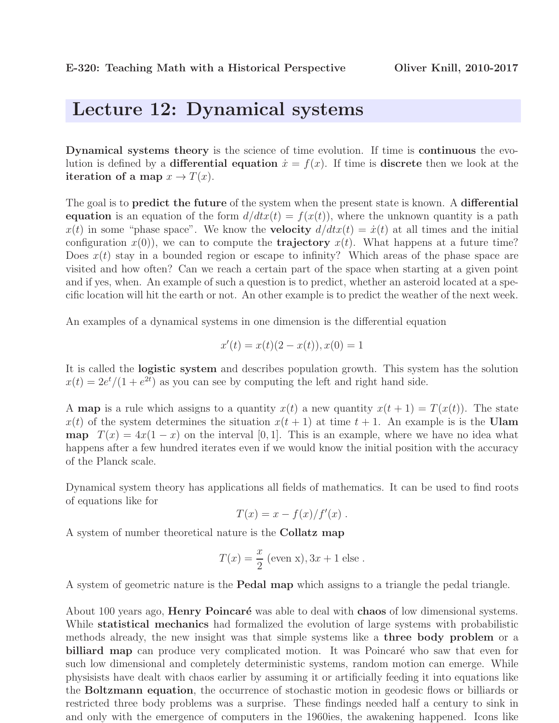## Lecture 12: Dynamical systems

Dynamical systems theory is the science of time evolution. If time is continuous the evolution is defined by a **differential equation**  $\dot{x} = f(x)$ . If time is **discrete** then we look at the iteration of a map  $x \to T(x)$ .

The goal is to **predict the future** of the system when the present state is known. A **differential** equation is an equation of the form  $d/dtx(t) = f(x(t))$ , where the unknown quantity is a path  $x(t)$  in some "phase space". We know the **velocity**  $d/dtx(t) = \dot{x}(t)$  at all times and the initial configuration  $x(0)$ , we can to compute the **trajectory**  $x(t)$ . What happens at a future time? Does  $x(t)$  stay in a bounded region or escape to infinity? Which areas of the phase space are visited and how often? Can we reach a certain part of the space when starting at a given point and if yes, when. An example of such a question is to predict, whether an asteroid located at a specific location will hit the earth or not. An other example is to predict the weather of the next week.

An examples of a dynamical systems in one dimension is the differential equation

$$
x'(t) = x(t)(2 - x(t)), x(0) = 1
$$

It is called the logistic system and describes population growth. This system has the solution  $x(t) = 2e^{t}/(1 + e^{2t})$  as you can see by computing the left and right hand side.

A map is a rule which assigns to a quantity  $x(t)$  a new quantity  $x(t + 1) = T(x(t))$ . The state  $x(t)$  of the system determines the situation  $x(t + 1)$  at time  $t + 1$ . An example is is the Ulam **map**  $T(x) = 4x(1-x)$  on the interval [0, 1]. This is an example, where we have no idea what happens after a few hundred iterates even if we would know the initial position with the accuracy of the Planck scale.

Dynamical system theory has applications all fields of mathematics. It can be used to find roots of equations like for

$$
T(x) = x - f(x)/f'(x) .
$$

A system of number theoretical nature is the Collatz map

$$
T(x) = \frac{x}{2}
$$
 (even x),  $3x + 1$  else.

A system of geometric nature is the Pedal map which assigns to a triangle the pedal triangle.

About 100 years ago, **Henry Poincaré** was able to deal with **chaos** of low dimensional systems. While **statistical mechanics** had formalized the evolution of large systems with probabilistic methods already, the new insight was that simple systems like a three body problem or a billiard map can produce very complicated motion. It was Poincaré who saw that even for such low dimensional and completely deterministic systems, random motion can emerge. While physisists have dealt with chaos earlier by assuming it or artificially feeding it into equations like the Boltzmann equation, the occurrence of stochastic motion in geodesic flows or billiards or restricted three body problems was a surprise. These findings needed half a century to sink in and only with the emergence of computers in the 1960ies, the awakening happened. Icons like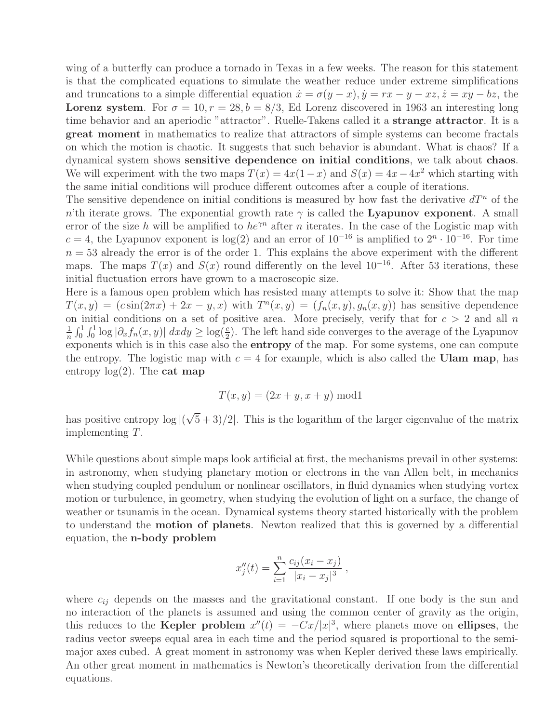wing of a butterfly can produce a tornado in Texas in a few weeks. The reason for this statement is that the complicated equations to simulate the weather reduce under extreme simplifications and truncations to a simple differential equation  $\dot{x} = \sigma(y - x), \dot{y} = rx - y - xz, \dot{z} = xy - bz$ , the **Lorenz system.** For  $\sigma = 10$ ,  $r = 28$ ,  $b = 8/3$ , Ed Lorenz discovered in 1963 an interesting long time behavior and an aperiodic "attractor". Ruelle-Takens called it a strange attractor. It is a great moment in mathematics to realize that attractors of simple systems can become fractals on which the motion is chaotic. It suggests that such behavior is abundant. What is chaos? If a dynamical system shows sensitive dependence on initial conditions, we talk about chaos. We will experiment with the two maps  $T(x) = 4x(1-x)$  and  $S(x) = 4x-4x^2$  which starting with the same initial conditions will produce different outcomes after a couple of iterations.

The sensitive dependence on initial conditions is measured by how fast the derivative  $dT^n$  of the n'th iterate grows. The exponential growth rate  $\gamma$  is called the Lyapunov exponent. A small error of the size h will be amplified to  $he^{\gamma n}$  after n iterates. In the case of the Logistic map with  $c = 4$ , the Lyapunov exponent is log(2) and an error of  $10^{-16}$  is amplified to  $2^n \cdot 10^{-16}$ . For time  $n = 53$  already the error is of the order 1. This explains the above experiment with the different maps. The maps  $T(x)$  and  $S(x)$  round differently on the level  $10^{-16}$ . After 53 iterations, these initial fluctuation errors have grown to a macroscopic size.

Here is a famous open problem which has resisted many attempts to solve it: Show that the map  $T(x,y) = (c\sin(2\pi x) + 2x - y, x)$  with  $T<sup>n</sup>(x, y) = (f<sub>n</sub>(x, y), g<sub>n</sub>(x, y))$  has sensitive dependence on initial conditions on a set of positive area. More precisely, verify that for  $c > 2$  and all n 1  $\frac{1}{n} \int_0^1 \int_0^1 \log |\partial_x f_n(x, y)| dx dy \geq \log(\frac{c}{2})$ . The left hand side converges to the average of the Lyapunov exponents which is in this case also the entropy of the map. For some systems, one can compute the entropy. The logistic map with  $c = 4$  for example, which is also called the Ulam map, has entropy  $log(2)$ . The **cat map** 

$$
T(x, y) = (2x + y, x + y) \bmod 1
$$

has positive entropy  $\log |(\sqrt{5}+3)/2|$ . This is the logarithm of the larger eigenvalue of the matrix implementing T.

While questions about simple maps look artificial at first, the mechanisms prevail in other systems: in astronomy, when studying planetary motion or electrons in the van Allen belt, in mechanics when studying coupled pendulum or nonlinear oscillators, in fluid dynamics when studying vortex motion or turbulence, in geometry, when studying the evolution of light on a surface, the change of weather or tsunamis in the ocean. Dynamical systems theory started historically with the problem to understand the motion of planets. Newton realized that this is governed by a differential equation, the n-body problem

$$
x''_j(t) = \sum_{i=1}^n \frac{c_{ij}(x_i - x_j)}{|x_i - x_j|^3},
$$

where  $c_{ij}$  depends on the masses and the gravitational constant. If one body is the sun and no interaction of the planets is assumed and using the common center of gravity as the origin, this reduces to the **Kepler problem**  $x''(t) = -Cx/|x|^3$ , where planets move on **ellipses**, the radius vector sweeps equal area in each time and the period squared is proportional to the semimajor axes cubed. A great moment in astronomy was when Kepler derived these laws empirically. An other great moment in mathematics is Newton's theoretically derivation from the differential equations.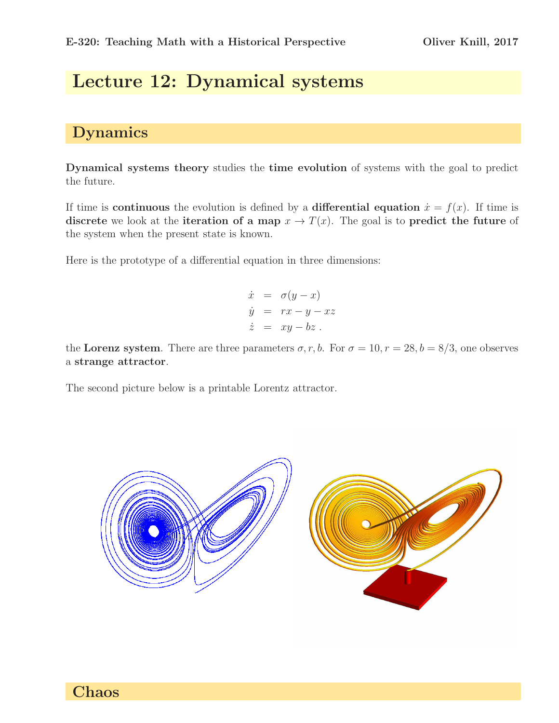## Lecture 12: Dynamical systems

## Dynamics

Dynamical systems theory studies the time evolution of systems with the goal to predict the future.

If time is **continuous** the evolution is defined by a **differential equation**  $\dot{x} = f(x)$ . If time is discrete we look at the iteration of a map  $x \to T(x)$ . The goal is to predict the future of the system when the present state is known.

Here is the prototype of a differential equation in three dimensions:

$$
\dot{x} = \sigma(y - x)
$$
  
\n
$$
\dot{y} = rx - y - xz
$$
  
\n
$$
\dot{z} = xy - bz
$$
.

the Lorenz system. There are three parameters  $\sigma$ , r, b. For  $\sigma = 10$ ,  $r = 28$ ,  $b = 8/3$ , one observes a strange attractor.

The second picture below is a printable Lorentz attractor.